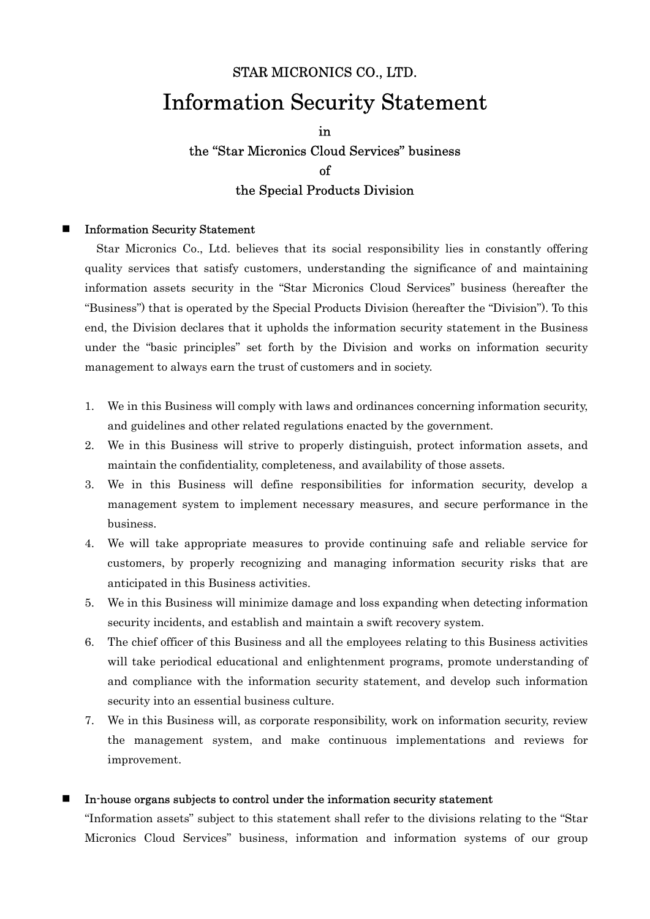## STAR MICRONICS CO., LTD. Information Security Statement

## in the "Star Micronics Cloud Services" business of the Special Products Division

## Information Security Statement

Star Micronics Co., Ltd. believes that its social responsibility lies in constantly offering quality services that satisfy customers, understanding the significance of and maintaining information assets security in the "Star Micronics Cloud Services" business (hereafter the "Business") that is operated by the Special Products Division (hereafter the "Division"). To this end, the Division declares that it upholds the information security statement in the Business under the "basic principles" set forth by the Division and works on information security management to always earn the trust of customers and in society.

- 1. We in this Business will comply with laws and ordinances concerning information security, and guidelines and other related regulations enacted by the government.
- 2. We in this Business will strive to properly distinguish, protect information assets, and maintain the confidentiality, completeness, and availability of those assets.
- 3. We in this Business will define responsibilities for information security, develop a management system to implement necessary measures, and secure performance in the business.
- 4. We will take appropriate measures to provide continuing safe and reliable service for customers, by properly recognizing and managing information security risks that are anticipated in this Business activities.
- 5. We in this Business will minimize damage and loss expanding when detecting information security incidents, and establish and maintain a swift recovery system.
- 6. The chief officer of this Business and all the employees relating to this Business activities will take periodical educational and enlightenment programs, promote understanding of and compliance with the information security statement, and develop such information security into an essential business culture.
- 7. We in this Business will, as corporate responsibility, work on information security, review the management system, and make continuous implementations and reviews for improvement.

## In-house organs subjects to control under the information security statement

"Information assets" subject to this statement shall refer to the divisions relating to the "Star Micronics Cloud Services" business, information and information systems of our group